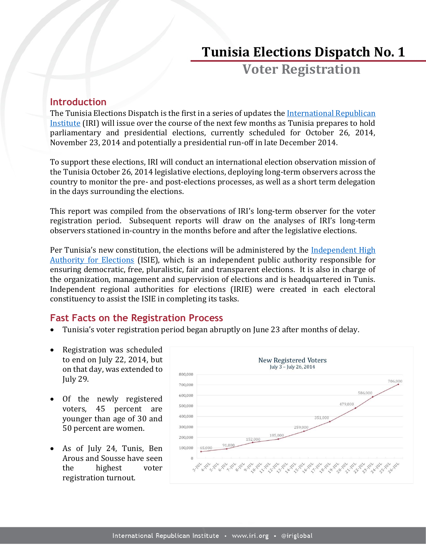# **Tunisia Elections Dispatch No. 1**

**Voter Registration**

## **Introduction**

The Tunisia Elections Dispatch is the first in a series of updates th[e International Republican](http://www.iri.org/)  [Institute](http://www.iri.org/) (IRI) will issue over the course of the next few months as Tunisia prepares to hold parliamentary and presidential elections, currently scheduled for October 26, 2014, November 23, 2014 and potentially a presidential run-off in late December 2014.

To support these elections, IRI will conduct an international election observation mission of the Tunisia October 26, 2014 legislative elections, deploying long-term observers across the country to monitor the pre- and post-elections processes, as well as a short term delegation in the days surrounding the elections.

This report was compiled from the observations of IRI's long-term observer for the voter registration period. Subsequent reports will draw on the analyses of IRI's long-term observers stationed in-country in the months before and after the legislative elections.

Per Tunisia's new constitution, the elections will be administered by the Independent High [Authority for Elections](http://www.isie.tn/) (ISIE), which is an independent public authority responsible for ensuring democratic, free, pluralistic, fair and transparent elections. It is also in charge of the organization, management and supervision of elections and is headquartered in Tunis. Independent regional authorities for elections (IRIE) were created in each electoral constituency to assist the ISIE in completing its tasks.

# **Fast Facts on the Registration Process**

- Tunisia's voter registration period began abruptly on June 23 after months of delay.
- Registration was scheduled to end on July 22, 2014, but on that day, was extended to July 29.
- Of the newly registered voters, 45 percent are younger than age of 30 and 50 percent are women.
- As of July 24, Tunis, Ben Arous and Sousse have seen the highest voter registration turnout.

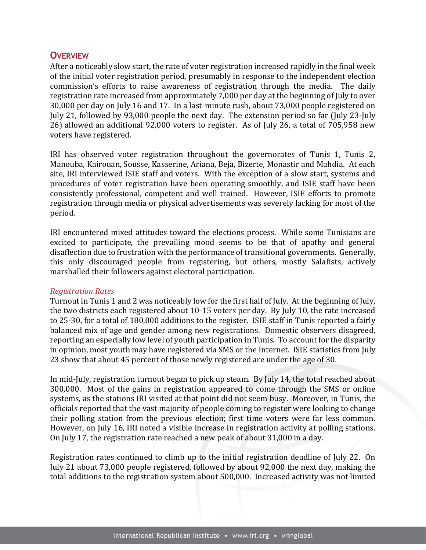## **OVERVIEW**

After a noticeably slow start, the rate of voter registration increased rapidly in the final week of the initial voter registration period, presumably in response to the independent election commission's efforts to raise awareness of registration through the media. The daily registration rate increased from approximately 7,000 per day at the beginning of July to over 30,000 per day on July 16 and 17. In a last-minute rush, about 73,000 people registered on July 21, followed by 93,000 people the next day. The extension period so far (July 23-July 26) allowed an additional 92,000 voters to register. As of July 26, a total of 705,958 new voters have registered.

IRI has observed voter registration throughout the governorates of Tunis 1, Tunis 2, Manouba, Kairouan, Sousse, Kasserine, Ariana, Beja, Bizerte, Monastir and Mahdia. At each site, IRI interviewed ISIE staff and voters. With the exception of a slow start, systems and procedures of voter registration have been operating smoothly, and ISIE staff have been consistently professional, competent and well trained. However, ISIE efforts to promote registration through media or physical advertisements was severely lacking for most of the period.

IRI encountered mixed attitudes toward the elections process. While some Tunisians are excited to participate, the prevailing mood seems to be that of apathy and general disaffection due to frustration with the performance of transitional governments. Generally, this only discouraged people from registering, but others, mostly Salafists, actively marshalled their followers against electoral participation.

#### *Registration Rates*

Turnout in Tunis 1 and 2 was noticeably low for the first half of July. At the beginning of July, the two districts each registered about 10-15 voters per day. By July 10, the rate increased to 25-30, for a total of 180,000 additions to the register. ISIE staff in Tunis reported a fairly balanced mix of age and gender among new registrations. Domestic observers disagreed, reporting an especially low level of youth participation in Tunis. To account for the disparity in opinion, most youth may have registered via SMS or the Internet. ISIE statistics from July 23 show that about 45 percent of those newly registered are under the age of 30.

In mid-July, registration turnout began to pick up steam. By July 14, the total reached about 300,000. Most of the gains in registration appeared to come through the SMS or online systems, as the stations IRI visited at that point did not seem busy. Moreover, in Tunis, the officials reported that the vast majority of people coming to register were looking to change their polling station from the previous election; first time voters were far less common. However, on July 16, IRI noted a visible increase in registration activity at polling stations. On July 17, the registration rate reached a new peak of about 31,000 in a day.

Registration rates continued to climb up to the initial registration deadline of July 22. On July 21 about 73,000 people registered, followed by about 92,000 the next day, making the total additions to the registration system about 500,000. Increased activity was not limited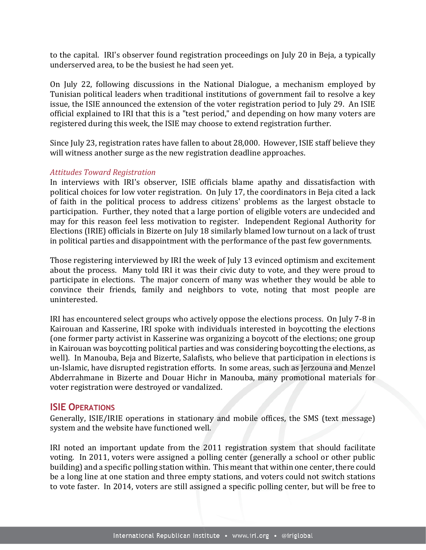to the capital. IRI's observer found registration proceedings on July 20 in Beja, a typically underserved area, to be the busiest he had seen yet.

On July 22, following discussions in the National Dialogue, a mechanism employed by Tunisian political leaders when traditional institutions of government fail to resolve a key issue, the ISIE announced the extension of the voter registration period to July 29. An ISIE official explained to IRI that this is a "test period," and depending on how many voters are registered during this week, the ISIE may choose to extend registration further.

Since July 23, registration rates have fallen to about 28,000. However, ISIE staff believe they will witness another surge as the new registration deadline approaches.

#### *Attitudes Toward Registration*

In interviews with IRI's observer, ISIE officials blame apathy and dissatisfaction with political choices for low voter registration. On July 17, the coordinators in Beja cited a lack of faith in the political process to address citizens' problems as the largest obstacle to participation. Further, they noted that a large portion of eligible voters are undecided and may for this reason feel less motivation to register. Independent Regional Authority for Elections (IRIE) officials in Bizerte on July 18 similarly blamed low turnout on a lack of trust in political parties and disappointment with the performance of the past few governments.

Those registering interviewed by IRI the week of July 13 evinced optimism and excitement about the process. Many told IRI it was their civic duty to vote, and they were proud to participate in elections. The major concern of many was whether they would be able to convince their friends, family and neighbors to vote, noting that most people are uninterested.

IRI has encountered select groups who actively oppose the elections process. On July 7-8 in Kairouan and Kasserine, IRI spoke with individuals interested in boycotting the elections (one former party activist in Kasserine was organizing a boycott of the elections; one group in Kairouan was boycotting political parties and was considering boycotting the elections, as well). In Manouba, Beja and Bizerte, Salafists, who believe that participation in elections is un-Islamic, have disrupted registration efforts. In some areas, such as Jerzouna and Menzel Abderrahmane in Bizerte and Douar Hichr in Manouba, many promotional materials for voter registration were destroyed or vandalized.

#### **ISIE OPERATIONS**

Generally, ISIE/IRIE operations in stationary and mobile offices, the SMS (text message) system and the website have functioned well.

IRI noted an important update from the 2011 registration system that should facilitate voting. In 2011, voters were assigned a polling center (generally a school or other public building) and a specific polling station within. This meant that within one center, there could be a long line at one station and three empty stations, and voters could not switch stations to vote faster. In 2014, voters are still assigned a specific polling center, but will be free to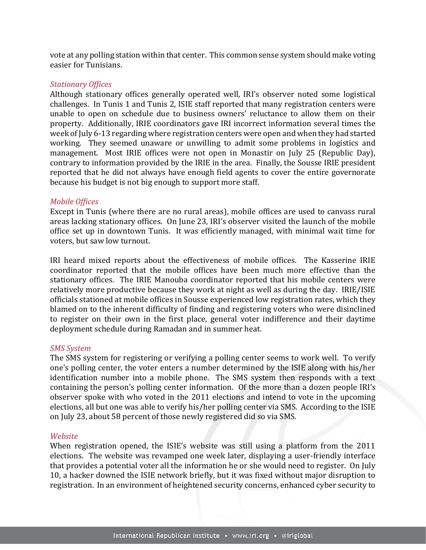vote at any polling station within that center. This common sense system should make voting easier for Tunisians.

#### *Stationary Offices*

Although stationary offices generally operated well, IRI's observer noted some logistical challenges. In Tunis 1 and Tunis 2, ISIE staff reported that many registration centers were unable to open on schedule due to business owners' reluctance to allow them on their property. Additionally, IRIE coordinators gave IRI incorrect information several times the week of July 6-13 regarding where registration centers were open and when they had started working. They seemed unaware or unwilling to admit some problems in logistics and management. Most IRIE offices were not open in Monastir on July 25 (Republic Day), contrary to information provided by the IRIE in the area. Finally, the Sousse IRIE president reported that he did not always have enough field agents to cover the entire governorate because his budget is not big enough to support more staff.

#### *Mobile Offices*

Except in Tunis (where there are no rural areas), mobile offices are used to canvass rural areas lacking stationary offices. On June 23, IRI's observer visited the launch of the mobile office set up in downtown Tunis. It was efficiently managed, with minimal wait time for voters, but saw low turnout.

IRI heard mixed reports about the effectiveness of mobile offices. The Kasserine IRIE coordinator reported that the mobile offices have been much more effective than the stationary offices. The IRIE Manouba coordinator reported that his mobile centers were relatively more productive because they work at night as well as during the day. IRIE/ISIE officials stationed at mobile offices in Sousse experienced low registration rates, which they blamed on to the inherent difficulty of finding and registering voters who were disinclined to register on their own in the first place, general voter indifference and their daytime deployment schedule during Ramadan and in summer heat.

#### *SMS System*

The SMS system for registering or verifying a polling center seems to work well. To verify one's polling center, the voter enters a number determined by the ISIE along with his/her identification number into a mobile phone. The SMS system then responds with a text containing the person's polling center information. Of the more than a dozen people IRI's observer spoke with who voted in the 2011 elections and intend to vote in the upcoming elections, all but one was able to verify his/her polling center via SMS. According to the ISIE on July 23, about 58 percent of those newly registered did so via SMS.

#### *Website*

When registration opened, the ISIE's website was still using a platform from the 2011 elections. The website was revamped one week later, displaying a user-friendly interface that provides a potential voter all the information he or she would need to register. On July 10, a hacker downed the ISIE network briefly, but it was fixed without major disruption to registration. In an environment of heightened security concerns, enhanced cyber security to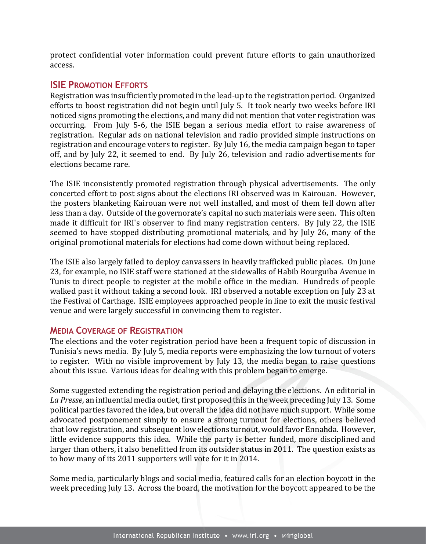protect confidential voter information could prevent future efforts to gain unauthorized access.

## **ISIE PROMOTION EFFORTS**

Registration was insufficiently promoted in the lead-up to the registration period. Organized efforts to boost registration did not begin until July 5. It took nearly two weeks before IRI noticed signs promoting the elections, and many did not mention that voter registration was occurring. From July 5-6, the ISIE began a serious media effort to raise awareness of registration. Regular ads on national television and radio provided simple instructions on registration and encourage voters to register. By July 16, the media campaign began to taper off, and by July 22, it seemed to end. By July 26, television and radio advertisements for elections became rare.

The ISIE inconsistently promoted registration through physical advertisements. The only concerted effort to post signs about the elections IRI observed was in Kairouan. However, the posters blanketing Kairouan were not well installed, and most of them fell down after less than a day. Outside of the governorate's capital no such materials were seen. This often made it difficult for IRI's observer to find many registration centers. By July 22, the ISIE seemed to have stopped distributing promotional materials, and by July 26, many of the original promotional materials for elections had come down without being replaced.

The ISIE also largely failed to deploy canvassers in heavily trafficked public places. On June 23, for example, no ISIE staff were stationed at the sidewalks of Habib Bourguiba Avenue in Tunis to direct people to register at the mobile office in the median. Hundreds of people walked past it without taking a second look. IRI observed a notable exception on July 23 at the Festival of Carthage. ISIE employees approached people in line to exit the music festival venue and were largely successful in convincing them to register.

## **MEDIA COVERAGE OF REGISTRATION**

The elections and the voter registration period have been a frequent topic of discussion in Tunisia's news media. By July 5, media reports were emphasizing the low turnout of voters to register. With no visible improvement by July 13, the media began to raise questions about this issue. Various ideas for dealing with this problem began to emerge.

Some suggested extending the registration period and delaying the elections. An editorial in *La Presse*, an influential media outlet, first proposed this in the week preceding July 13. Some political parties favored the idea, but overall the idea did not have much support. While some advocated postponement simply to ensure a strong turnout for elections, others believed that low registration, and subsequent low elections turnout, would favor Ennahda. However, little evidence supports this idea. While the party is better funded, more disciplined and larger than others, it also benefitted from its outsider status in 2011. The question exists as to how many of its 2011 supporters will vote for it in 2014.

Some media, particularly blogs and social media, featured calls for an election boycott in the week preceding July 13. Across the board, the motivation for the boycott appeared to be the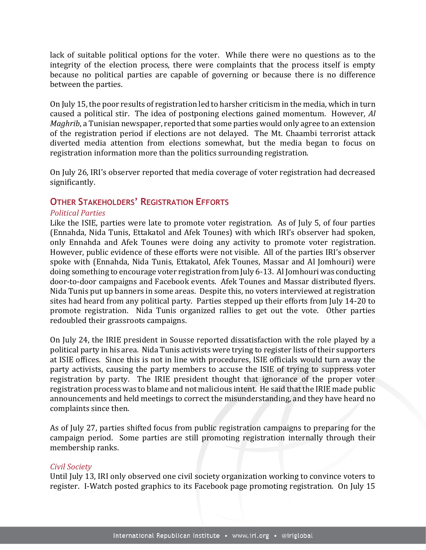lack of suitable political options for the voter. While there were no questions as to the integrity of the election process, there were complaints that the process itself is empty because no political parties are capable of governing or because there is no difference between the parties.

On July 15, the poor results of registration led to harsher criticism in the media, which in turn caused a political stir. The idea of postponing elections gained momentum. However, *Al Maghrib*, a Tunisian newspaper, reported that some parties would only agree to an extension of the registration period if elections are not delayed. The Mt. Chaambi terrorist attack diverted media attention from elections somewhat, but the media began to focus on registration information more than the politics surrounding registration.

On July 26, IRI's observer reported that media coverage of voter registration had decreased significantly.

## **OTHER STAKEHOLDERS' REGISTRATION EFFORTS**

#### *Political Parties*

Like the ISIE, parties were late to promote voter registration. As of July 5, of four parties (Ennahda, Nida Tunis, Ettakatol and Afek Tounes) with which IRI's observer had spoken, only Ennahda and Afek Tounes were doing any activity to promote voter registration. However, public evidence of these efforts were not visible. All of the parties IRI's observer spoke with (Ennahda, Nida Tunis, Ettakatol, Afek Tounes, Massar and Al Jomhouri) were doing something to encourage voter registration from July 6-13. Al Jomhouri was conducting door-to-door campaigns and Facebook events. Afek Tounes and Massar distributed flyers. Nida Tunis put up banners in some areas. Despite this, no voters interviewed at registration sites had heard from any political party. Parties stepped up their efforts from July 14-20 to promote registration. Nida Tunis organized rallies to get out the vote. Other parties redoubled their grassroots campaigns.

On July 24, the IRIE president in Sousse reported dissatisfaction with the role played by a political party in his area. Nida Tunis activists were trying to register lists of their supporters at ISIE offices. Since this is not in line with procedures, ISIE officials would turn away the party activists, causing the party members to accuse the ISIE of trying to suppress voter registration by party. The IRIE president thought that ignorance of the proper voter registration process was to blame and not malicious intent. He said that the IRIE made public announcements and held meetings to correct the misunderstanding, and they have heard no complaints since then.

As of July 27, parties shifted focus from public registration campaigns to preparing for the campaign period. Some parties are still promoting registration internally through their membership ranks.

#### *Civil Society*

Until July 13, IRI only observed one civil society organization working to convince voters to register. I-Watch posted graphics to its Facebook page promoting registration. On July 15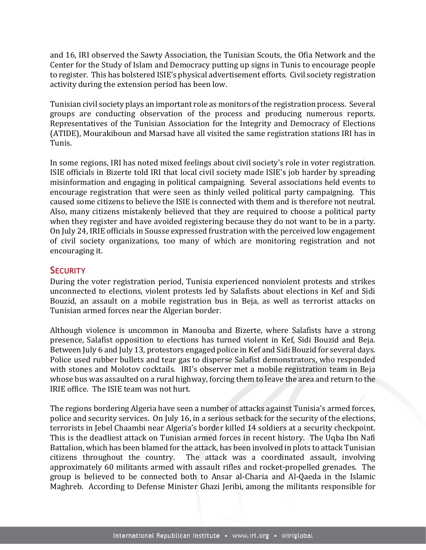and 16, IRI observed the Sawty Association, the Tunisian Scouts, the Ofia Network and the Center for the Study of Islam and Democracy putting up signs in Tunis to encourage people to register. This has bolstered ISIE's physical advertisement efforts. Civil society registration activity during the extension period has been low.

Tunisian civil society plays an important role as monitors of the registration process. Several groups are conducting observation of the process and producing numerous reports. Representatives of the Tunisian Association for the Integrity and Democracy of Elections (ATIDE), Mourakiboun and Marsad have all visited the same registration stations IRI has in Tunis.

In some regions, IRI has noted mixed feelings about civil society's role in voter registration. ISIE officials in Bizerte told IRI that local civil society made ISIE's job harder by spreading misinformation and engaging in political campaigning. Several associations held events to encourage registration that were seen as thinly veiled political party campaigning. This caused some citizens to believe the ISIE is connected with them and is therefore not neutral. Also, many citizens mistakenly believed that they are required to choose a political party when they register and have avoided registering because they do not want to be in a party. On July 24, IRIE officials in Sousse expressed frustration with the perceived low engagement of civil society organizations, too many of which are monitoring registration and not encouraging it.

## **SECURITY**

During the voter registration period, Tunisia experienced nonviolent protests and strikes unconnected to elections, violent protests led by Salafists about elections in Kef and Sidi Bouzid, an assault on a mobile registration bus in Beja, as well as terrorist attacks on Tunisian armed forces near the Algerian border.

Although violence is uncommon in Manouba and Bizerte, where Salafists have a strong presence, Salafist opposition to elections has turned violent in Kef, Sidi Bouzid and Beja. Between July 6 and July 13, protestors engaged police in Kef and Sidi Bouzid for several days. Police used rubber bullets and tear gas to disperse Salafist demonstrators, who responded with stones and Molotov cocktails. IRI's observer met a mobile registration team in Beja whose bus was assaulted on a rural highway, forcing them to leave the area and return to the IRIE office. The ISIE team was not hurt.

The regions bordering Algeria have seen a number of attacks against Tunisia's armed forces, police and security services. On July 16, in a serious setback for the security of the elections, terrorists in Jebel Chaambi near Algeria's border killed 14 soldiers at a security checkpoint. This is the deadliest attack on Tunisian armed forces in recent history. The Uqba Ibn Nafi Battalion, which has been blamed for the attack, has been involved in plots to attack Tunisian citizens throughout the country. The attack was a coordinated assault, involving approximately 60 militants armed with assault rifles and rocket-propelled grenades. The group is believed to be connected both to Ansar al-Charia and Al-Qaeda in the Islamic Maghreb. According to Defense Minister Ghazi Jeribi, among the militants responsible for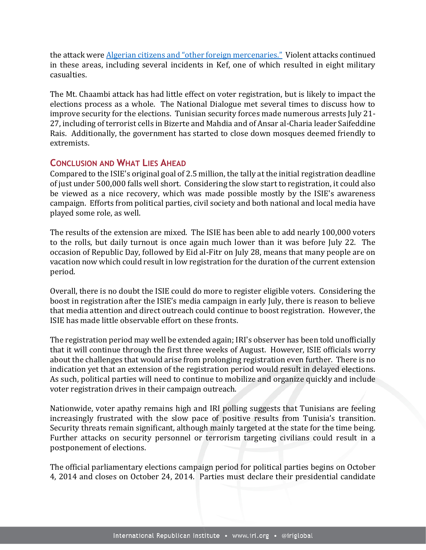the attack were [Algerian citizens and "other foreign mercenaries."](http://news.yahoo.com/four-tunisian-soldiers-killed-terrorist-attack-035010804.html) Violent attacks continued in these areas, including several incidents in Kef, one of which resulted in eight military casualties.

The Mt. Chaambi attack has had little effect on voter registration, but is likely to impact the elections process as a whole. The National Dialogue met several times to discuss how to improve security for the elections. Tunisian security forces made numerous arrests July 21- 27, including of terrorist cells in Bizerte and Mahdia and of Ansar al-Charia leader Saifeddine Rais. Additionally, the government has started to close down mosques deemed friendly to extremists.

## **CONCLUSION AND WHAT LIES AHEAD**

Compared to the ISIE's original goal of 2.5 million, the tally at the initial registration deadline of just under 500,000 falls well short. Considering the slow start to registration, it could also be viewed as a nice recovery, which was made possible mostly by the ISIE's awareness campaign. Efforts from political parties, civil society and both national and local media have played some role, as well.

The results of the extension are mixed. The ISIE has been able to add nearly 100,000 voters to the rolls, but daily turnout is once again much lower than it was before July 22. The occasion of Republic Day, followed by Eid al-Fitr on July 28, means that many people are on vacation now which could result in low registration for the duration of the current extension period.

Overall, there is no doubt the ISIE could do more to register eligible voters. Considering the boost in registration after the ISIE's media campaign in early July, there is reason to believe that media attention and direct outreach could continue to boost registration. However, the ISIE has made little observable effort on these fronts.

The registration period may well be extended again; IRI's observer has been told unofficially that it will continue through the first three weeks of August. However, ISIE officials worry about the challenges that would arise from prolonging registration even further. There is no indication yet that an extension of the registration period would result in delayed elections. As such, political parties will need to continue to mobilize and organize quickly and include voter registration drives in their campaign outreach.

Nationwide, voter apathy remains high and IRI polling suggests that Tunisians are feeling increasingly frustrated with the slow pace of positive results from Tunisia's transition. Security threats remain significant, although mainly targeted at the state for the time being. Further attacks on security personnel or terrorism targeting civilians could result in a postponement of elections.

The official parliamentary elections campaign period for political parties begins on October 4, 2014 and closes on October 24, 2014. Parties must declare their presidential candidate